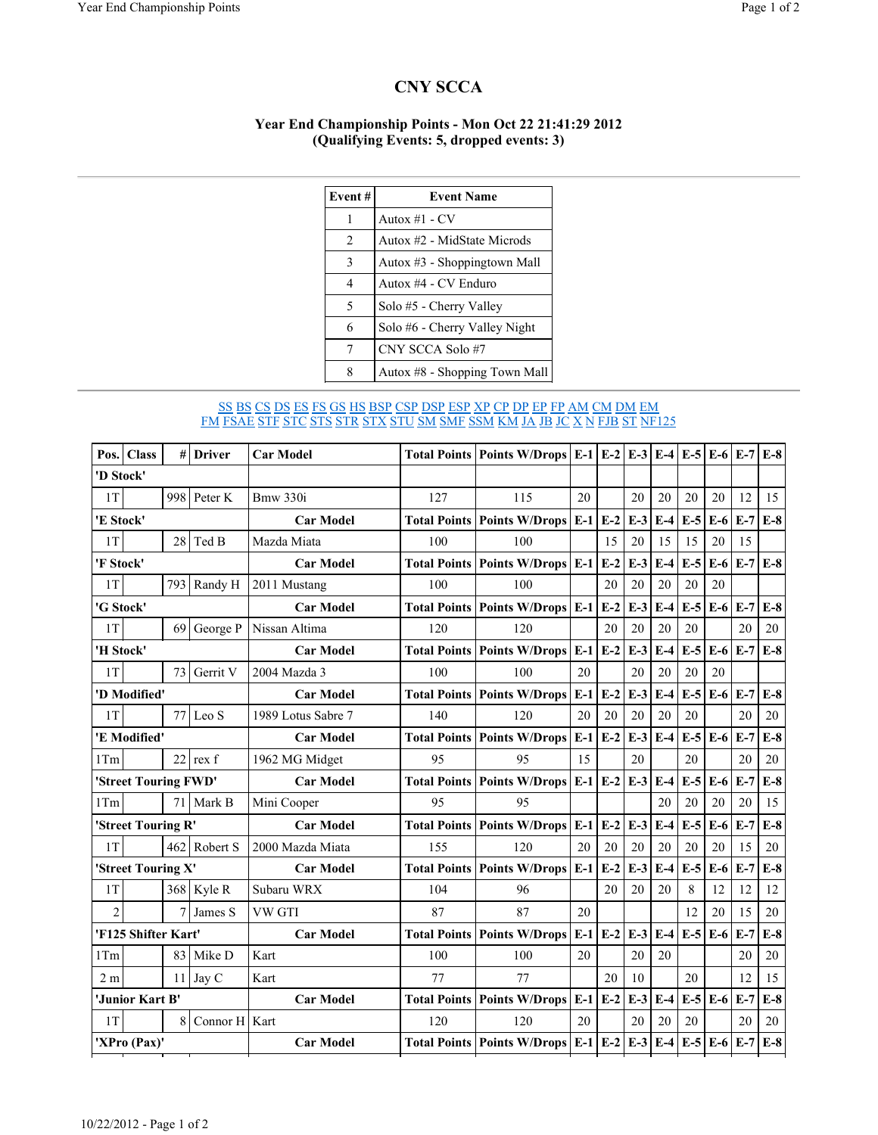## CNY SCCA

## Year End Championship Points - Mon Oct 22 21:41:29 2012 (Qualifying Events: 5, dropped events: 3)

| Event#         | <b>Event Name</b>             |
|----------------|-------------------------------|
| 1              | Autox $#1$ - CV               |
| $\overline{2}$ | Autox #2 - MidState Microds   |
| 3              | Autox #3 - Shoppingtown Mall  |
| 4              | Autox #4 - CV Enduro          |
| 5              | Solo #5 - Cherry Valley       |
| 6              | Solo #6 - Cherry Valley Night |
| 7              | CNY SCCA Solo #7              |
| 8              | Autox #8 - Shopping Town Mall |

## <u>SS BS CS DS ES FS GS HS BSP CSP DSP ESP XP CP DP EP FP AM CM DM EM</u> FM FSAE STF STC STS STR STX STU SM SMF SSM KM JA JB JC X N FJB ST NF125

| Pos.                 | <b>Class</b> | #   | <b>Driver</b> | <b>Car Model</b>   |     | Total Points   Points W/Drops   E-1   E-2 |       |       | $E-3$ | $E-4$ | $E-5$ | $E-6$ $E-7$       |       | $E-8$ |
|----------------------|--------------|-----|---------------|--------------------|-----|-------------------------------------------|-------|-------|-------|-------|-------|-------------------|-------|-------|
| 'D Stock'            |              |     |               |                    |     |                                           |       |       |       |       |       |                   |       |       |
| 1T                   |              | 998 | Peter K       | <b>Bmw 330i</b>    | 127 | 115                                       | 20    |       | 20    | 20    | 20    | 20                | 12    | 15    |
| 'E Stock'            |              |     |               | <b>Car Model</b>   |     | Total Points   Points W/Drops   E-1       |       | $E-2$ | $E-3$ | $E-4$ | $E-5$ | $E-6$             | $E-7$ | $E-8$ |
| 1T                   |              |     | $28$ Ted B    | Mazda Miata        | 100 | 100                                       |       | 15    | 20    | 15    | 15    | 20                | 15    |       |
| 'F Stock'            |              |     |               | <b>Car Model</b>   |     | Total Points   Points W/Drops   E-1       |       | $E-2$ | $E-3$ | $E-4$ | $E-5$ | $E-6$             | $E-7$ | $E-8$ |
| 1T                   |              | 793 | Randy H       | 2011 Mustang       | 100 | 100                                       |       | 20    | 20    | 20    | 20    | 20                |       |       |
| 'G Stock'            |              |     |               | <b>Car Model</b>   |     | <b>Total Points Points W/Drops E-1</b>    |       | $E-2$ | $E-3$ | $E-4$ | $E-5$ | $E-6$             | $E-7$ | $E-8$ |
| 1T                   |              | 69  | George P      | Nissan Altima      | 120 | 120                                       |       | 20    | 20    | 20    | 20    |                   | 20    | 20    |
| 'H Stock'            |              |     |               | <b>Car Model</b>   |     | <b>Total Points Points W/Drops</b>        | $E-1$ | $E-2$ | $E-3$ | $E-4$ | $E-5$ | $E-6$             | $E-7$ | $E-8$ |
| 1T                   |              | 73  | Gerrit V      | 2004 Mazda 3       | 100 | 100                                       | 20    |       | 20    | 20    | 20    | 20                |       |       |
| 'D Modified'         |              |     |               | <b>Car Model</b>   |     | <b>Total Points Points W/Drops</b>        | $E-1$ | $E-2$ | $E-3$ | $E-4$ | $E-5$ | $E-6$             | $E-7$ | $E-8$ |
| 1T                   |              | 77  | Leo S         | 1989 Lotus Sabre 7 | 140 | 120                                       | 20    | 20    | 20    | 20    | 20    |                   | 20    | 20    |
| 'E Modified'         |              |     |               | <b>Car Model</b>   |     | <b>Total Points Points W/Drops</b>        | $E-1$ | $E-2$ | $E-3$ | $E-4$ | $E-5$ | $E-6$             | $E-7$ | $E-8$ |
| 1Tm                  |              |     | $22$ rex f    | 1962 MG Midget     | 95  | 95                                        | 15    |       | 20    |       | 20    |                   | 20    | 20    |
| 'Street Touring FWD' |              |     |               | <b>Car Model</b>   |     | <b>Total Points Points W/Drops</b>        | $E-1$ | $E-2$ | $E-3$ | $E-4$ | $E-5$ | $E-6$             | $E-7$ | $E-8$ |
| 1Tm                  |              | 71  | Mark B        | Mini Cooper        | 95  | 95                                        |       |       |       | 20    | 20    | 20                | 20    | 15    |
| 'Street Touring R'   |              |     |               | <b>Car Model</b>   |     | Total Points   Points W/Drops   E-1       |       | $E-2$ | $E-3$ | $E-4$ | $E-5$ | $E-6$             | $E-7$ | $E-8$ |
| 1T                   |              | 462 | Robert S      | 2000 Mazda Miata   | 155 | 120                                       | 20    | 20    | 20    | 20    | 20    | 20                | 15    | 20    |
| 'Street Touring X'   |              |     |               | <b>Car Model</b>   |     | Total Points   Points W/Drops   E-1       |       | $E-2$ | $E-3$ | $E-4$ | $E-5$ | $E-6$             | $E-7$ | $E-8$ |
| 1T                   |              | 368 | Kyle R        | Subaru WRX         | 104 | 96                                        |       | 20    | 20    | 20    | 8     | 12                | 12    | 12    |
| $\overline{2}$       |              | 7   | James S       | VW GTI             | 87  | 87                                        | 20    |       |       |       | 12    | 20                | 15    | 20    |
| 'F125 Shifter Kart'  |              |     |               | <b>Car Model</b>   |     | <b>Total Points Points W/Drops</b>        | $E-1$ | $E-2$ | $E-3$ | $E-4$ | $E-5$ | $E-6$             | $E-7$ | $E-8$ |
| 1Tm                  |              | 83  | Mike D        | Kart               | 100 | 100                                       | 20    |       | 20    | 20    |       |                   | 20    | 20    |
| 2 <sub>m</sub>       |              | 11  | Jay C         | Kart               | 77  | 77                                        |       | 20    | 10    |       | 20    |                   | 12    | 15    |
| 'Junior Kart B'      |              |     |               | <b>Car Model</b>   |     | Total Points   Points W/Drops   E-1       |       | $E-2$ | $E-3$ | $E-4$ | $E-5$ | $E-6$             | $E-7$ | $E-8$ |
| 1T                   |              | 8   | Connor H Kart |                    | 120 | 120                                       | 20    |       | 20    | 20    | 20    |                   | 20    | 20    |
| 'XPro (Pax)'         |              |     |               | <b>Car Model</b>   |     | Total Points   Points W/Drops   E-1   E-2 |       |       | $E-3$ | $E-4$ |       | $E-5$ $E-6$ $E-7$ |       | $E-8$ |